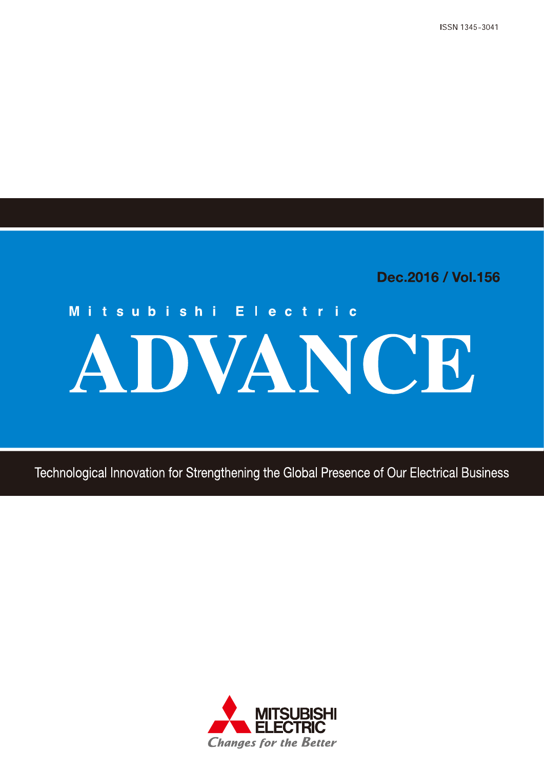ISSN 1345-3041

Dec.2016 / Vol.156

# Mitsubishi Electric ADVANCE

Technological Innovation for Strengthening the Global Presence of Our Electrical Business

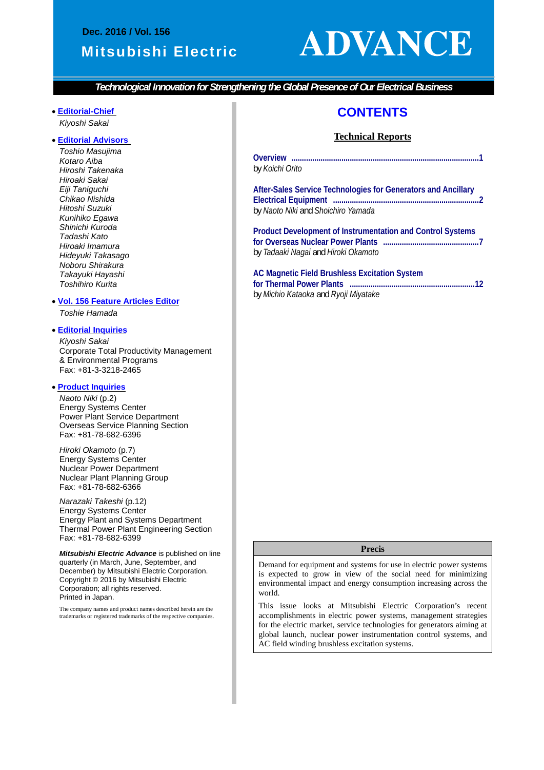#### **Dec. 2016 / Vol. 156**

#### **Mitsubishi Electric**

## **ADVANCE**

*Technological Innovation for Strengthening the Global Presence of Our Electrical Business* 

#### **Editorial-Chief** *Kiyoshi Sakai*

 $\overline{\phantom{a}}$ 

#### **Editorial Advisors**

*Toshio Masujima Kotaro Aiba Hiroshi Takenaka Hiroaki Sakai Eiji Taniguchi Chikao Nishida Hitoshi Suzuki Kunihiko Egawa Shinichi Kuroda Tadashi Kato Hiroaki Imamura Hideyuki Takasago Noboru Shirakura Takayuki Hayashi Toshihiro Kurita* 

#### **Vol. 156 Feature Articles Editor**

*Toshie Hamada* 

#### **Editorial Inquiries**

*Kiyoshi Sakai*  Corporate Total Productivity Management & Environmental Programs Fax: +81-3-3218-2465

#### **Product Inquiries**

*Naoto Niki* (p.2) Energy Systems Center Power Plant Service Department Overseas Service Planning Section Fax: +81-78-682-6396

*Hiroki Okamoto* (p.7) Energy Systems Center Nuclear Power Department Nuclear Plant Planning Group Fax: +81-78-682-6366

*Narazaki Takeshi* (p.12) Energy Systems Center Energy Plant and Systems Department Thermal Power Plant Engineering Section Fax: +81-78-682-6399

*Mitsubishi Electric Advance* is published on line quarterly (in March, June, September, and December) by Mitsubishi Electric Corporation. Copyright © 2016 by Mitsubishi Electric Corporation; all rights reserved. Printed in Japan.

The company names and product names described herein are the trademarks or registered trademarks of the respective companies.

#### **CONTENTS**

#### **Technical Reports**

| by Koichi Orito |  |
|-----------------|--|

**After-Sales Service Technologies for Generators and Ancillary Electrical Equipment ...................................................................... 2**  by *Naoto Niki* and *Shoichiro Yamada* 

**Product Development of Instrumentation and Control Systems for Overseas Nuclear Power Plants .............................................. 7**  by *Tadaaki Nagai* and *Hiroki Okamoto* 

#### **AC Magnetic Field Brushless Excitation System for Thermal Power Plants ............................................................ 12**

by *Michio Kataoka* and *Ryoji Miyatake* 

#### **Precis**

Demand for equipment and systems for use in electric power systems is expected to grow in view of the social need for minimizing environmental impact and energy consumption increasing across the world.

This issue looks at Mitsubishi Electric Corporation's recent accomplishments in electric power systems, management strategies for the electric market, service technologies for generators aiming at global launch, nuclear power instrumentation control systems, and AC field winding brushless excitation systems.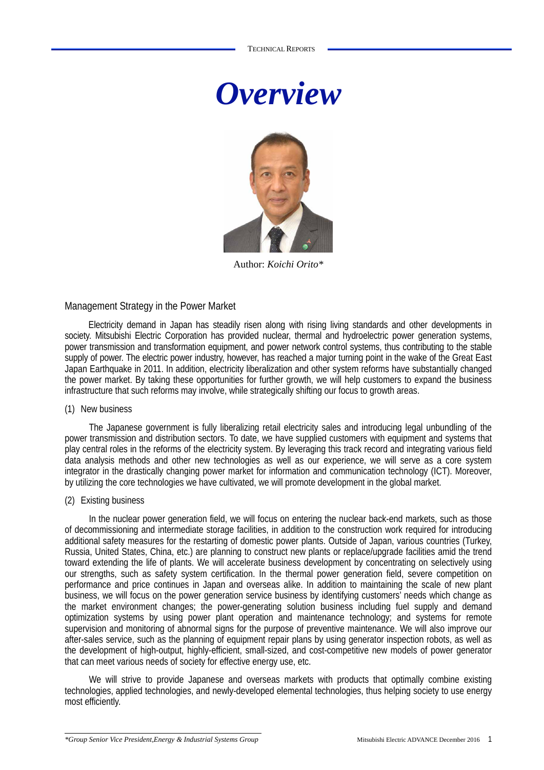



Author: *Koichi Orito\**

#### Management Strategy in the Power Market

Electricity demand in Japan has steadily risen along with rising living standards and other developments in society. Mitsubishi Electric Corporation has provided nuclear, thermal and hydroelectric power generation systems, power transmission and transformation equipment, and power network control systems, thus contributing to the stable supply of power. The electric power industry, however, has reached a major turning point in the wake of the Great East Japan Earthquake in 2011. In addition, electricity liberalization and other system reforms have substantially changed the power market. By taking these opportunities for further growth, we will help customers to expand the business infrastructure that such reforms may involve, while strategically shifting our focus to growth areas.

#### (1) New business

The Japanese government is fully liberalizing retail electricity sales and introducing legal unbundling of the power transmission and distribution sectors. To date, we have supplied customers with equipment and systems that play central roles in the reforms of the electricity system. By leveraging this track record and integrating various field data analysis methods and other new technologies as well as our experience, we will serve as a core system integrator in the drastically changing power market for information and communication technology (ICT). Moreover, by utilizing the core technologies we have cultivated, we will promote development in the global market.

#### (2) Existing business

In the nuclear power generation field, we will focus on entering the nuclear back-end markets, such as those of decommissioning and intermediate storage facilities, in addition to the construction work required for introducing additional safety measures for the restarting of domestic power plants. Outside of Japan, various countries (Turkey, Russia, United States, China, etc.) are planning to construct new plants or replace/upgrade facilities amid the trend toward extending the life of plants. We will accelerate business development by concentrating on selectively using our strengths, such as safety system certification. In the thermal power generation field, severe competition on performance and price continues in Japan and overseas alike. In addition to maintaining the scale of new plant business, we will focus on the power generation service business by identifying customers' needs which change as the market environment changes; the power-generating solution business including fuel supply and demand optimization systems by using power plant operation and maintenance technology; and systems for remote supervision and monitoring of abnormal signs for the purpose of preventive maintenance. We will also improve our after-sales service, such as the planning of equipment repair plans by using generator inspection robots, as well as the development of high-output, highly-efficient, small-sized, and cost-competitive new models of power generator that can meet various needs of society for effective energy use, etc.

We will strive to provide Japanese and overseas markets with products that optimally combine existing technologies, applied technologies, and newly-developed elemental technologies, thus helping society to use energy most efficiently.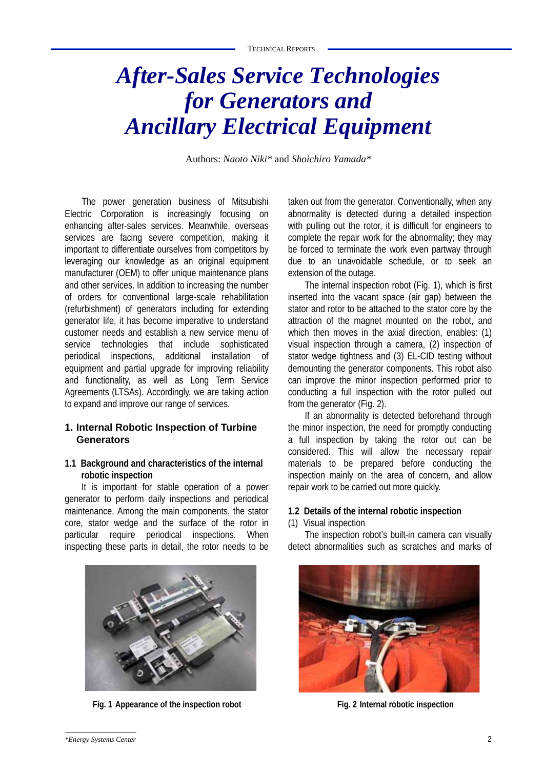## *After-Sales Service Technologies for Generators and Ancillary Electrical Equipment*

Authors: *Naoto Niki\** and *Shoichiro Yamada\**

The power generation business of Mitsubishi Electric Corporation is increasingly focusing on enhancing after-sales services. Meanwhile, overseas services are facing severe competition, making it important to differentiate ourselves from competitors by leveraging our knowledge as an original equipment manufacturer (OEM) to offer unique maintenance plans and other services. In addition to increasing the number of orders for conventional large-scale rehabilitation (refurbishment) of generators including for extending generator life, it has become imperative to understand customer needs and establish a new service menu of service technologies that include sophisticated periodical inspections, additional installation of equipment and partial upgrade for improving reliability and functionality, as well as Long Term Service Agreements (LTSAs). Accordingly, we are taking action to expand and improve our range of services.

#### **1. Internal Robotic Inspection of Turbine Generators**

#### **1.1 Background and characteristics of the internal robotic inspection**

It is important for stable operation of a power generator to perform daily inspections and periodical maintenance. Among the main components, the stator core, stator wedge and the surface of the rotor in particular require periodical inspections. When inspecting these parts in detail, the rotor needs to be



Fig. 1 Appearance of the inspection robot Fig. 2 Internal robotic inspection

taken out from the generator. Conventionally, when any abnormality is detected during a detailed inspection with pulling out the rotor, it is difficult for engineers to complete the repair work for the abnormality; they may be forced to terminate the work even partway through due to an unavoidable schedule, or to seek an extension of the outage.

The internal inspection robot (Fig. 1), which is first inserted into the vacant space (air gap) between the stator and rotor to be attached to the stator core by the attraction of the magnet mounted on the robot, and which then moves in the axial direction, enables: (1) visual inspection through a camera, (2) inspection of stator wedge tightness and (3) EL-CID testing without demounting the generator components. This robot also can improve the minor inspection performed prior to conducting a full inspection with the rotor pulled out from the generator (Fig. 2).

If an abnormality is detected beforehand through the minor inspection, the need for promptly conducting a full inspection by taking the rotor out can be considered. This will allow the necessary repair materials to be prepared before conducting the inspection mainly on the area of concern, and allow repair work to be carried out more quickly.

#### **1.2 Details of the internal robotic inspection**

#### (1) Visual inspection

The inspection robot's built-in camera can visually detect abnormalities such as scratches and marks of

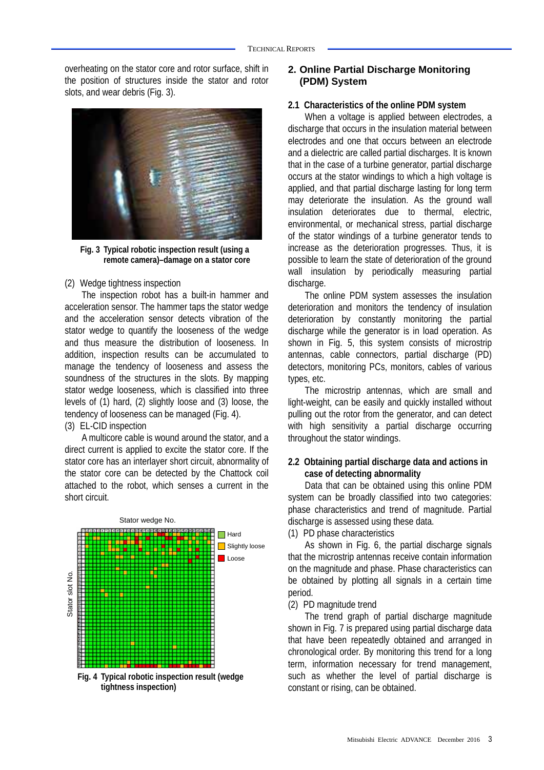overheating on the stator core and rotor surface, shift in the position of structures inside the stator and rotor slots, and wear debris (Fig. 3).



**Fig. 3 Typical robotic inspection result (using a remote camera)–damage on a stator core** 

(2) Wedge tightness inspection

The inspection robot has a built-in hammer and acceleration sensor. The hammer taps the stator wedge and the acceleration sensor detects vibration of the stator wedge to quantify the looseness of the wedge and thus measure the distribution of looseness. In addition, inspection results can be accumulated to manage the tendency of looseness and assess the soundness of the structures in the slots. By mapping stator wedge looseness, which is classified into three levels of (1) hard, (2) slightly loose and (3) loose, the tendency of looseness can be managed (Fig. 4).

(3) EL-CID inspection

A multicore cable is wound around the stator, and a direct current is applied to excite the stator core. If the stator core has an interlayer short circuit, abnormality of the stator core can be detected by the Chattock coil attached to the robot, which senses a current in the short circuit.



**Fig. 4 Typical robotic inspection result (wedge tightness inspection)**

#### **2. Online Partial Discharge Monitoring (PDM) System**

#### **2.1 Characteristics of the online PDM system**

When a voltage is applied between electrodes, a discharge that occurs in the insulation material between electrodes and one that occurs between an electrode and a dielectric are called partial discharges. It is known that in the case of a turbine generator, partial discharge occurs at the stator windings to which a high voltage is applied, and that partial discharge lasting for long term may deteriorate the insulation. As the ground wall insulation deteriorates due to thermal, electric, environmental, or mechanical stress, partial discharge of the stator windings of a turbine generator tends to increase as the deterioration progresses. Thus, it is possible to learn the state of deterioration of the ground wall insulation by periodically measuring partial discharge.

The online PDM system assesses the insulation deterioration and monitors the tendency of insulation deterioration by constantly monitoring the partial discharge while the generator is in load operation. As shown in Fig. 5, this system consists of microstrip antennas, cable connectors, partial discharge (PD) detectors, monitoring PCs, monitors, cables of various types, etc.

The microstrip antennas, which are small and light-weight, can be easily and quickly installed without pulling out the rotor from the generator, and can detect with high sensitivity a partial discharge occurring throughout the stator windings.

#### **2.2 Obtaining partial discharge data and actions in case of detecting abnormality**

Data that can be obtained using this online PDM system can be broadly classified into two categories: phase characteristics and trend of magnitude. Partial discharge is assessed using these data.

(1) PD phase characteristics

As shown in Fig. 6, the partial discharge signals that the microstrip antennas receive contain information on the magnitude and phase. Phase characteristics can be obtained by plotting all signals in a certain time period.

#### (2) PD magnitude trend

The trend graph of partial discharge magnitude shown in Fig. 7 is prepared using partial discharge data that have been repeatedly obtained and arranged in chronological order. By monitoring this trend for a long term, information necessary for trend management, such as whether the level of partial discharge is constant or rising, can be obtained.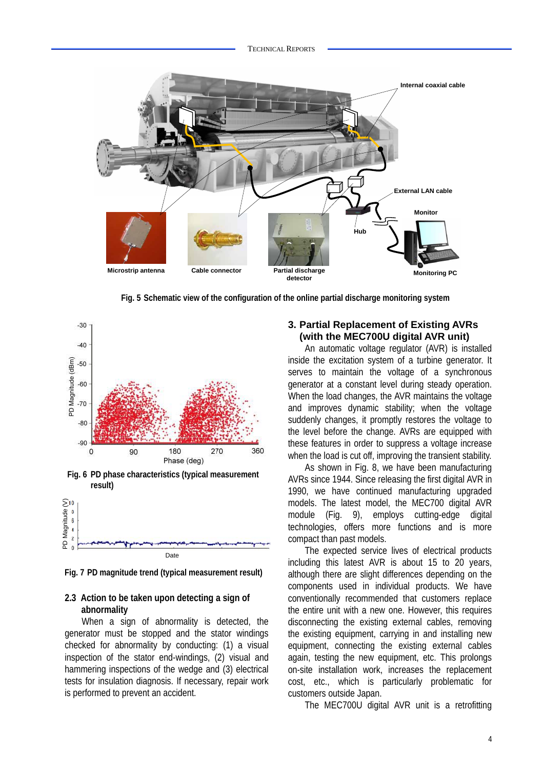

**Fig. 5 Schematic view of the configuration of the online partial discharge monitoring system**





**Fig. 7 PD magnitude trend (typical measurement result)**

#### **2.3 Action to be taken upon detecting a sign of abnormality**

When a sign of abnormality is detected, the generator must be stopped and the stator windings checked for abnormality by conducting: (1) a visual inspection of the stator end-windings, (2) visual and hammering inspections of the wedge and (3) electrical tests for insulation diagnosis. If necessary, repair work is performed to prevent an accident.

#### **3. Partial Replacement of Existing AVRs (with the MEC700U digital AVR unit)**

An automatic voltage regulator (AVR) is installed inside the excitation system of a turbine generator. It serves to maintain the voltage of a synchronous generator at a constant level during steady operation. When the load changes, the AVR maintains the voltage and improves dynamic stability; when the voltage suddenly changes, it promptly restores the voltage to the level before the change. AVRs are equipped with these features in order to suppress a voltage increase when the load is cut off, improving the transient stability.

As shown in Fig. 8, we have been manufacturing AVRs since 1944. Since releasing the first digital AVR in 1990, we have continued manufacturing upgraded models. The latest model, the MEC700 digital AVR module (Fig. 9), employs cutting-edge digital technologies, offers more functions and is more compact than past models.

The expected service lives of electrical products including this latest AVR is about 15 to 20 years, although there are slight differences depending on the components used in individual products. We have conventionally recommended that customers replace the entire unit with a new one. However, this requires disconnecting the existing external cables, removing the existing equipment, carrying in and installing new equipment, connecting the existing external cables again, testing the new equipment, etc. This prolongs on-site installation work, increases the replacement cost, etc., which is particularly problematic for customers outside Japan.

The MEC700U digital AVR unit is a retrofitting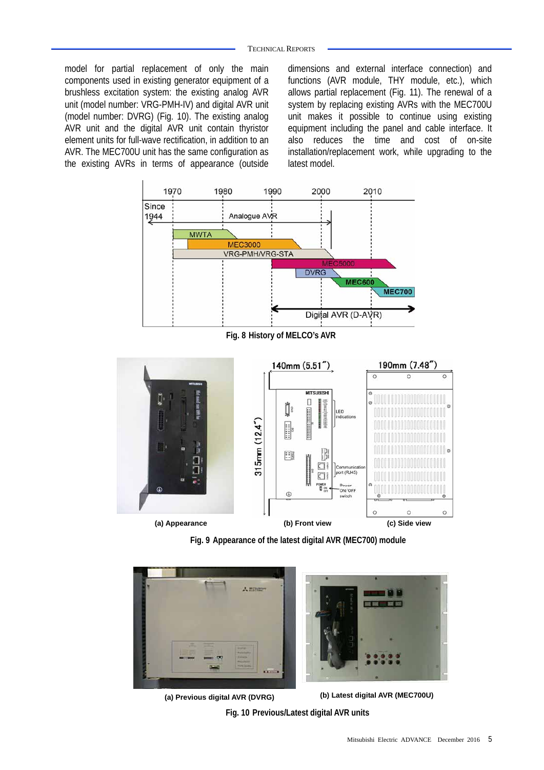model for partial replacement of only the main components used in existing generator equipment of a brushless excitation system: the existing analog AVR unit (model number: VRG-PMH-IV) and digital AVR unit (model number: DVRG) (Fig. 10). The existing analog AVR unit and the digital AVR unit contain thyristor element units for full-wave rectification, in addition to an AVR. The MEC700U unit has the same configuration as the existing AVRs in terms of appearance (outside

dimensions and external interface connection) and functions (AVR module, THY module, etc.), which allows partial replacement (Fig. 11). The renewal of a system by replacing existing AVRs with the MEC700U unit makes it possible to continue using existing equipment including the panel and cable interface. It also reduces the time and cost of on-site installation/replacement work, while upgrading to the latest model.



**(a) Appearance (b) Front view (c) Side view** 

**Fig. 9 Appearance of the latest digital AVR (MEC700) module** 



**Fig. 10 Previous/Latest digital AVR units (b) Latest digital AVR (MEC700U) (a) Previous digital AVR (DVRG)**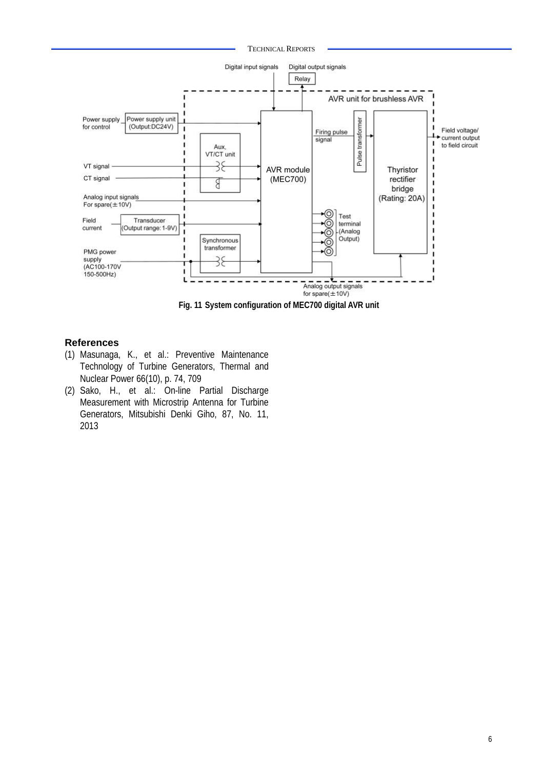TECHNICAL REPORTS



**Fig. 11 System configuration of MEC700 digital AVR unit** 

#### **References**

- (1) Masunaga, K., et al.: Preventive Maintenance Technology of Turbine Generators, Thermal and Nuclear Power 66(10), p. 74, 709
- (2) Sako, H., et al.: On-line Partial Discharge Measurement with Microstrip Antenna for Turbine Generators, Mitsubishi Denki Giho, 87, No. 11, 2013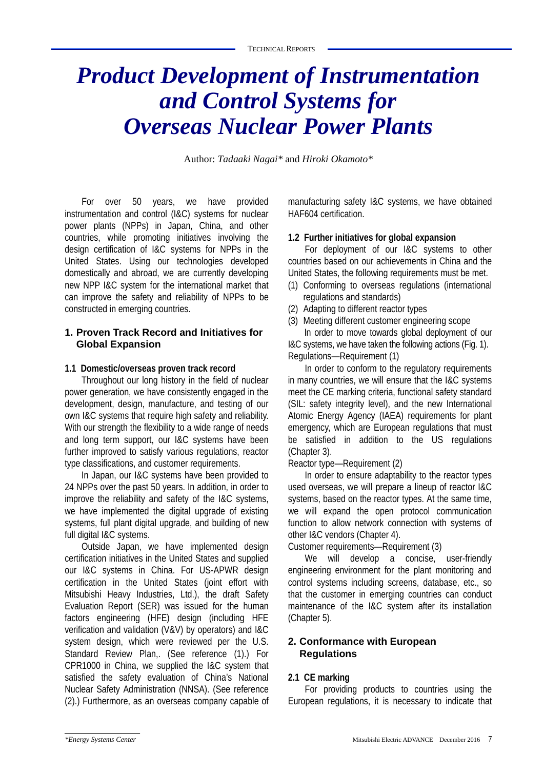## *Product Development of Instrumentation and Control Systems for Overseas Nuclear Power Plants*

Author: *Tadaaki Nagai\** and *Hiroki Okamoto\**

For over 50 years, we have provided instrumentation and control (I&C) systems for nuclear power plants (NPPs) in Japan, China, and other countries, while promoting initiatives involving the design certification of I&C systems for NPPs in the United States. Using our technologies developed domestically and abroad, we are currently developing new NPP I&C system for the international market that can improve the safety and reliability of NPPs to be constructed in emerging countries.

#### **1. Proven Track Record and Initiatives for Global Expansion**

#### **1.1 Domestic/overseas proven track record**

Throughout our long history in the field of nuclear power generation, we have consistently engaged in the development, design, manufacture, and testing of our own I&C systems that require high safety and reliability. With our strength the flexibility to a wide range of needs and long term support, our I&C systems have been further improved to satisfy various regulations, reactor type classifications, and customer requirements.

In Japan, our I&C systems have been provided to 24 NPPs over the past 50 years. In addition, in order to improve the reliability and safety of the I&C systems, we have implemented the digital upgrade of existing systems, full plant digital upgrade, and building of new full digital I&C systems.

Outside Japan, we have implemented design certification initiatives in the United States and supplied our I&C systems in China. For US-APWR design certification in the United States (joint effort with Mitsubishi Heavy Industries, Ltd.), the draft Safety Evaluation Report (SER) was issued for the human factors engineering (HFE) design (including HFE verification and validation (V&V) by operators) and I&C system design, which were reviewed per the U.S. Standard Review Plan,. (See reference (1).) For CPR1000 in China, we supplied the I&C system that satisfied the safety evaluation of China's National Nuclear Safety Administration (NNSA). (See reference (2).) Furthermore, as an overseas company capable of

manufacturing safety I&C systems, we have obtained HAF604 certification.

#### **1.2 Further initiatives for global expansion**

For deployment of our I&C systems to other countries based on our achievements in China and the United States, the following requirements must be met.

- (1) Conforming to overseas regulations (international regulations and standards)
- (2) Adapting to different reactor types
- (3) Meeting different customer engineering scope In order to move towards global deployment of our

I&C systems, we have taken the following actions (Fig. 1). Regulations—Requirement (1)

In order to conform to the regulatory requirements in many countries, we will ensure that the I&C systems meet the CE marking criteria, functional safety standard (SIL: safety integrity level), and the new International Atomic Energy Agency (IAEA) requirements for plant emergency, which are European regulations that must be satisfied in addition to the US regulations (Chapter 3).

Reactor type—Requirement (2)

In order to ensure adaptability to the reactor types used overseas, we will prepare a lineup of reactor I&C systems, based on the reactor types. At the same time, we will expand the open protocol communication function to allow network connection with systems of other I&C vendors (Chapter 4).

Customer requirements—Requirement (3)

We will develop a concise, user-friendly engineering environment for the plant monitoring and control systems including screens, database, etc., so that the customer in emerging countries can conduct maintenance of the I&C system after its installation (Chapter 5).

#### **2. Conformance with European Regulations**

#### **2.1 CE marking**

For providing products to countries using the European regulations, it is necessary to indicate that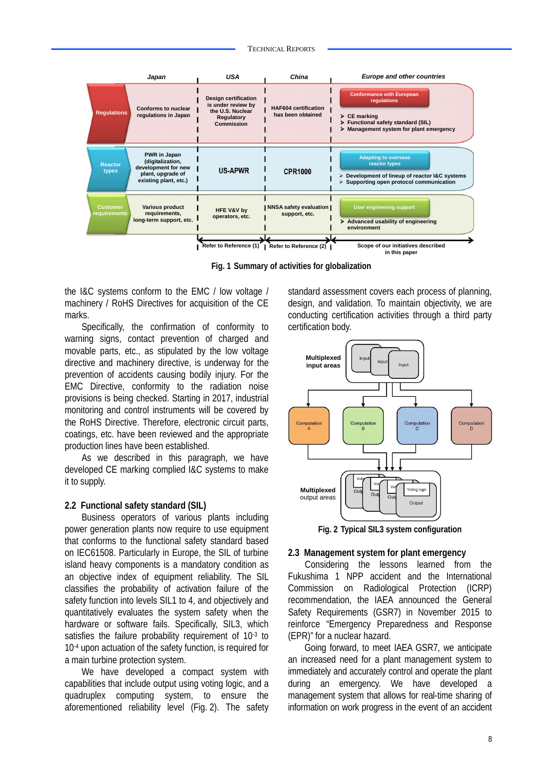

**Fig. 1 Summary of activities for globalization** 

the I&C systems conform to the EMC / low voltage / machinery / RoHS Directives for acquisition of the CE marks.

Specifically, the confirmation of conformity to warning signs, contact prevention of charged and movable parts, etc., as stipulated by the low voltage directive and machinery directive, is underway for the prevention of accidents causing bodily injury. For the EMC Directive, conformity to the radiation noise provisions is being checked. Starting in 2017, industrial monitoring and control instruments will be covered by the RoHS Directive. Therefore, electronic circuit parts, coatings, etc. have been reviewed and the appropriate production lines have been established.

As we described in this paragraph, we have developed CE marking complied I&C systems to make it to supply.

#### **2.2 Functional safety standard (SIL)**

Business operators of various plants including power generation plants now require to use equipment that conforms to the functional safety standard based on IEC61508. Particularly in Europe, the SIL of turbine island heavy components is a mandatory condition as an objective index of equipment reliability. The SIL classifies the probability of activation failure of the safety function into levels SIL1 to 4, and objectively and quantitatively evaluates the system safety when the hardware or software fails. Specifically, SIL3, which satisfies the failure probability requirement of 10-3 to 10-4 upon actuation of the safety function, is required for a main turbine protection system.

We have developed a compact system with capabilities that include output using voting logic, and a quadruplex computing system, to ensure the aforementioned reliability level (Fig. 2). The safety standard assessment covers each process of planning, design, and validation. To maintain objectivity, we are conducting certification activities through a third party certification body.



**Fig. 2 Typical SIL3 system configuration** 

#### **2.3 Management system for plant emergency**

Considering the lessons learned from the Fukushima 1 NPP accident and the International Commission on Radiological Protection (ICRP) recommendation, the IAEA announced the General Safety Requirements (GSR7) in November 2015 to reinforce "Emergency Preparedness and Response (EPR)" for a nuclear hazard.

Going forward, to meet IAEA GSR7, we anticipate an increased need for a plant management system to immediately and accurately control and operate the plant during an emergency. We have developed a management system that allows for real-time sharing of information on work progress in the event of an accident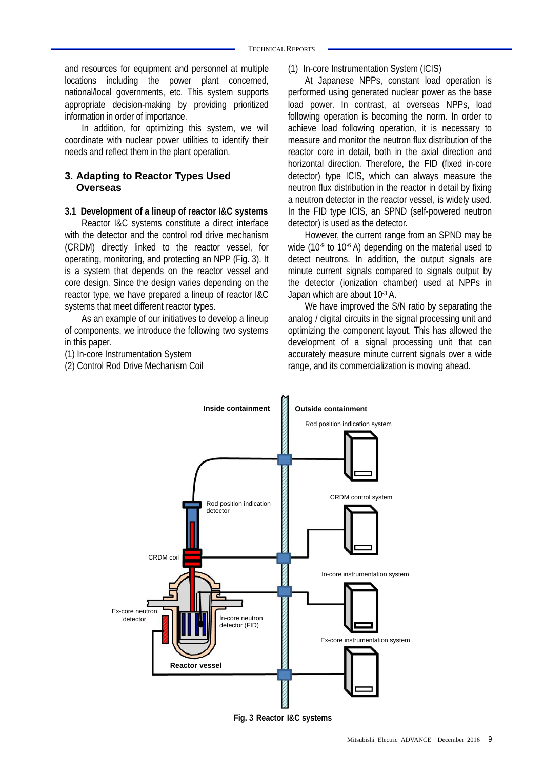and resources for equipment and personnel at multiple locations including the power plant concerned, national/local governments, etc. This system supports appropriate decision-making by providing prioritized information in order of importance.

In addition, for optimizing this system, we will coordinate with nuclear power utilities to identify their needs and reflect them in the plant operation.

#### **3. Adapting to Reactor Types Used Overseas**

#### **3.1 Development of a lineup of reactor I&C systems**

Reactor I&C systems constitute a direct interface with the detector and the control rod drive mechanism (CRDM) directly linked to the reactor vessel, for operating, monitoring, and protecting an NPP (Fig. 3). It is a system that depends on the reactor vessel and core design. Since the design varies depending on the reactor type, we have prepared a lineup of reactor I&C systems that meet different reactor types.

As an example of our initiatives to develop a lineup of components, we introduce the following two systems in this paper.

(1) In-core Instrumentation System

(2) Control Rod Drive Mechanism Coil

(1) In-core Instrumentation System (ICIS)

At Japanese NPPs, constant load operation is performed using generated nuclear power as the base load power. In contrast, at overseas NPPs, load following operation is becoming the norm. In order to achieve load following operation, it is necessary to measure and monitor the neutron flux distribution of the reactor core in detail, both in the axial direction and horizontal direction. Therefore, the FID (fixed in-core detector) type ICIS, which can always measure the neutron flux distribution in the reactor in detail by fixing a neutron detector in the reactor vessel, is widely used. In the FID type ICIS, an SPND (self-powered neutron detector) is used as the detector.

However, the current range from an SPND may be wide (10<sup>-9</sup> to 10<sup>-6</sup> A) depending on the material used to detect neutrons. In addition, the output signals are minute current signals compared to signals output by the detector (ionization chamber) used at NPPs in Japan which are about 10<sup>-3</sup> A.

We have improved the S/N ratio by separating the analog / digital circuits in the signal processing unit and optimizing the component layout. This has allowed the development of a signal processing unit that can accurately measure minute current signals over a wide range, and its commercialization is moving ahead.



**Fig. 3 Reactor I&C systems**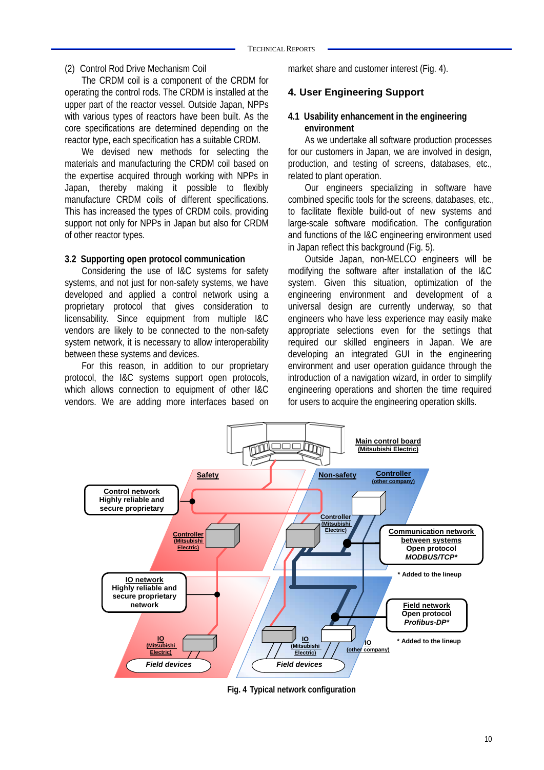#### (2) Control Rod Drive Mechanism Coil

The CRDM coil is a component of the CRDM for operating the control rods. The CRDM is installed at the upper part of the reactor vessel. Outside Japan, NPPs with various types of reactors have been built. As the core specifications are determined depending on the reactor type, each specification has a suitable CRDM.

We devised new methods for selecting the materials and manufacturing the CRDM coil based on the expertise acquired through working with NPPs in Japan, thereby making it possible to flexibly manufacture CRDM coils of different specifications. This has increased the types of CRDM coils, providing support not only for NPPs in Japan but also for CRDM of other reactor types.

#### **3.2 Supporting open protocol communication**

Considering the use of I&C systems for safety systems, and not just for non-safety systems, we have developed and applied a control network using a proprietary protocol that gives consideration to licensability. Since equipment from multiple I&C vendors are likely to be connected to the non-safety system network, it is necessary to allow interoperability between these systems and devices.

For this reason, in addition to our proprietary protocol, the I&C systems support open protocols, which allows connection to equipment of other I&C vendors. We are adding more interfaces based on market share and customer interest (Fig. 4).

#### **4. User Engineering Support**

#### **4.1 Usability enhancement in the engineering environment**

As we undertake all software production processes for our customers in Japan, we are involved in design, production, and testing of screens, databases, etc., related to plant operation.

Our engineers specializing in software have combined specific tools for the screens, databases, etc., to facilitate flexible build-out of new systems and large-scale software modification. The configuration and functions of the I&C engineering environment used in Japan reflect this background (Fig. 5).

Outside Japan, non-MELCO engineers will be modifying the software after installation of the I&C system. Given this situation, optimization of the engineering environment and development of a universal design are currently underway, so that engineers who have less experience may easily make appropriate selections even for the settings that required our skilled engineers in Japan. We are developing an integrated GUI in the engineering environment and user operation guidance through the introduction of a navigation wizard, in order to simplify engineering operations and shorten the time required for users to acquire the engineering operation skills.



**Fig. 4 Typical network configuration**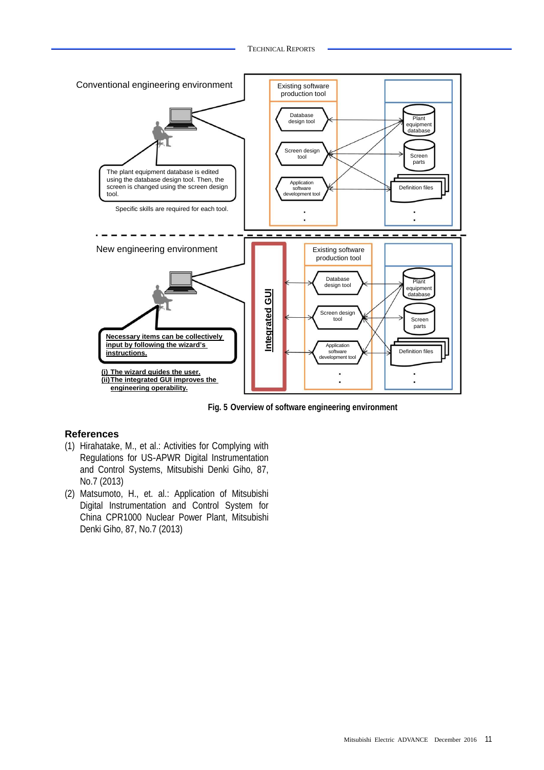

**Fig. 5 Overview of software engineering environment** 

#### **References**

- (1) Hirahatake, M., et al.: Activities for Complying with Regulations for US-APWR Digital Instrumentation and Control Systems, Mitsubishi Denki Giho, 87, No.7 (2013)
- (2) Matsumoto, H., et. al.: Application of Mitsubishi Digital Instrumentation and Control System for China CPR1000 Nuclear Power Plant, Mitsubishi Denki Giho, 87, No.7 (2013)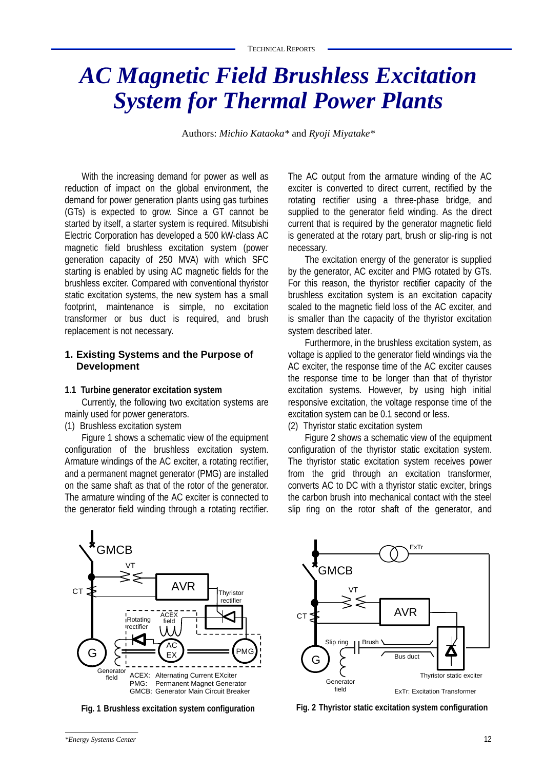## *AC Magnetic Field Brushless Excitation System for Thermal Power Plants*

Authors: *Michio Kataoka\** and *Ryoji Miyatake\**

With the increasing demand for power as well as reduction of impact on the global environment, the demand for power generation plants using gas turbines (GTs) is expected to grow. Since a GT cannot be started by itself, a starter system is required. Mitsubishi Electric Corporation has developed a 500 kW-class AC magnetic field brushless excitation system (power generation capacity of 250 MVA) with which SFC starting is enabled by using AC magnetic fields for the brushless exciter. Compared with conventional thyristor static excitation systems, the new system has a small footprint, maintenance is simple, no excitation transformer or bus duct is required, and brush replacement is not necessary.

#### **1. Existing Systems and the Purpose of Development**

#### **1.1 Turbine generator excitation system**

Currently, the following two excitation systems are mainly used for power generators.

(1) Brushless excitation system

Figure 1 shows a schematic view of the equipment configuration of the brushless excitation system. Armature windings of the AC exciter, a rotating rectifier, and a permanent magnet generator (PMG) are installed on the same shaft as that of the rotor of the generator. The armature winding of the AC exciter is connected to the generator field winding through a rotating rectifier.

The AC output from the armature winding of the AC exciter is converted to direct current, rectified by the rotating rectifier using a three-phase bridge, and supplied to the generator field winding. As the direct current that is required by the generator magnetic field is generated at the rotary part, brush or slip-ring is not necessary.

The excitation energy of the generator is supplied by the generator, AC exciter and PMG rotated by GTs. For this reason, the thyristor rectifier capacity of the brushless excitation system is an excitation capacity scaled to the magnetic field loss of the AC exciter, and is smaller than the capacity of the thyristor excitation system described later.

Furthermore, in the brushless excitation system, as voltage is applied to the generator field windings via the AC exciter, the response time of the AC exciter causes the response time to be longer than that of thyristor excitation systems. However, by using high initial responsive excitation, the voltage response time of the excitation system can be 0.1 second or less.

(2) Thyristor static excitation system

Figure 2 shows a schematic view of the equipment configuration of the thyristor static excitation system. The thyristor static excitation system receives power from the grid through an excitation transformer, converts AC to DC with a thyristor static exciter, brings the carbon brush into mechanical contact with the steel slip ring on the rotor shaft of the generator, and



**Fig. 1 Brushless excitation system configuration**



**Fig. 2 Thyristor static excitation system configuration**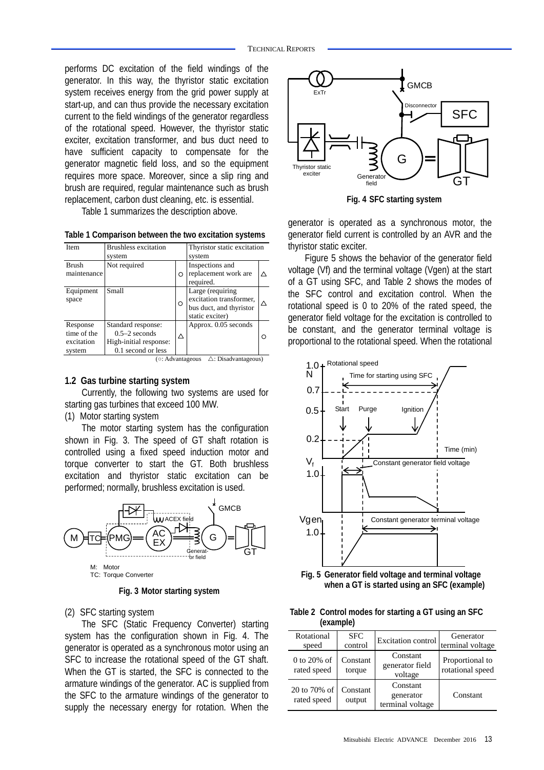performs DC excitation of the field windings of the generator. In this way, the thyristor static excitation system receives energy from the grid power supply at start-up, and can thus provide the necessary excitation current to the field windings of the generator regardless of the rotational speed. However, the thyristor static exciter, excitation transformer, and bus duct need to have sufficient capacity to compensate for the generator magnetic field loss, and so the equipment requires more space. Moreover, since a slip ring and brush are required, regular maintenance such as brush replacement, carbon dust cleaning, etc. is essential.

Table 1 summarizes the description above.

**Table 1 Comparison between the two excitation systems** 

| Item                                            | <b>Brushless excitation</b><br>system                                                 |   | Thyristor static excitation<br>system                                                     |   |
|-------------------------------------------------|---------------------------------------------------------------------------------------|---|-------------------------------------------------------------------------------------------|---|
| <b>Brush</b><br>maintenance                     | Not required                                                                          | O | Inspections and<br>replacement work are<br>required.                                      |   |
| Equipment<br>space                              | Small                                                                                 | O | Large (requiring<br>excitation transformer,<br>bus duct, and thyristor<br>static exciter) | Λ |
| Response<br>time of the<br>excitation<br>system | Standard response:<br>$0.5-2$ seconds<br>High-initial response:<br>0.1 second or less | Δ | Approx. 0.05 seconds                                                                      |   |

( $\circ$ : Advantageous  $\therefore$  Disadvantageous)

#### **1.2 Gas turbine starting system**

Currently, the following two systems are used for starting gas turbines that exceed 100 MW.

(1) Motor starting system

The motor starting system has the configuration shown in Fig. 3. The speed of GT shaft rotation is controlled using a fixed speed induction motor and torque converter to start the GT. Both brushless excitation and thyristor static excitation can be performed; normally, brushless excitation is used.



**Fig. 3 Motor starting system** 

#### (2) SFC starting system

The SFC (Static Frequency Converter) starting system has the configuration shown in Fig. 4. The generator is operated as a synchronous motor using an SFC to increase the rotational speed of the GT shaft. When the GT is started, the SFC is connected to the armature windings of the generator. AC is supplied from the SFC to the armature windings of the generator to supply the necessary energy for rotation. When the



**Fig. 4 SFC starting system**

generator is operated as a synchronous motor, the generator field current is controlled by an AVR and the thyristor static exciter.

Figure 5 shows the behavior of the generator field voltage (Vf) and the terminal voltage (Vgen) at the start of a GT using SFC, and Table 2 shows the modes of the SFC control and excitation control. When the rotational speed is 0 to 20% of the rated speed, the generator field voltage for the excitation is controlled to be constant, and the generator terminal voltage is proportional to the rotational speed. When the rotational



**Fig. 5 Generator field voltage and terminal voltage when a GT is started using an SFC (example)**

| Table 2 Control modes for starting a GT using an SFC |
|------------------------------------------------------|
| (example)                                            |

| Rotational<br>speed          | <b>SFC</b><br>control | Excitation control                        | Generator<br>terminal voltage       |
|------------------------------|-----------------------|-------------------------------------------|-------------------------------------|
| $0$ to 20% of<br>rated speed | Constant<br>torque    | Constant<br>generator field<br>voltage    | Proportional to<br>rotational speed |
| 20 to 70% of<br>rated speed  | Constant<br>output    | Constant<br>generator<br>terminal voltage | Constant                            |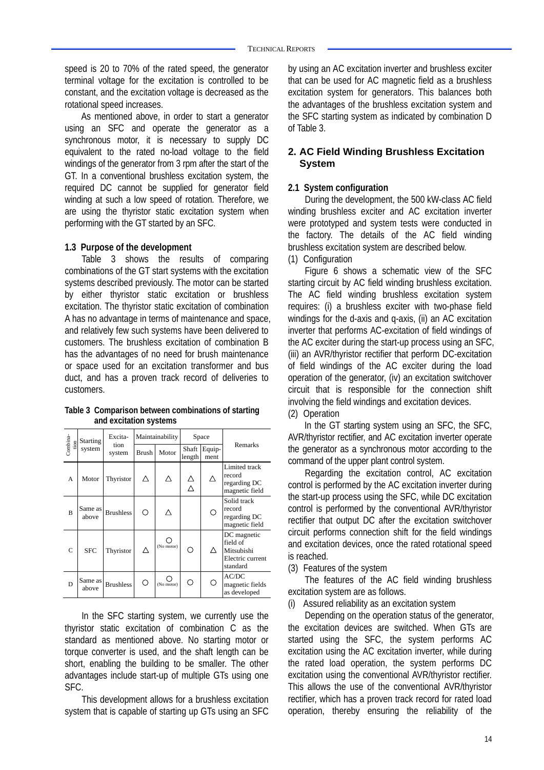speed is 20 to 70% of the rated speed, the generator terminal voltage for the excitation is controlled to be constant, and the excitation voltage is decreased as the rotational speed increases.

As mentioned above, in order to start a generator using an SFC and operate the generator as a synchronous motor, it is necessary to supply DC equivalent to the rated no-load voltage to the field windings of the generator from 3 rpm after the start of the GT. In a conventional brushless excitation system, the required DC cannot be supplied for generator field winding at such a low speed of rotation. Therefore, we are using the thyristor static excitation system when performing with the GT started by an SFC.

#### **1.3 Purpose of the development**

Table 3 shows the results of comparing combinations of the GT start systems with the excitation systems described previously. The motor can be started by either thyristor static excitation or brushless excitation. The thyristor static excitation of combination A has no advantage in terms of maintenance and space, and relatively few such systems have been delivered to customers. The brushless excitation of combination B has the advantages of no need for brush maintenance or space used for an excitation transformer and bus duct, and has a proven track record of deliveries to customers.

**Table 3 Comparison between combinations of starting and excitation systems** 

|                  | <b>Starting</b><br>system | Excita-<br>tion<br>system | Maintainability |            | Space           |                |                                                                       |
|------------------|---------------------------|---------------------------|-----------------|------------|-----------------|----------------|-----------------------------------------------------------------------|
| Combina-<br>tion |                           |                           | Brush           | Motor      | Shaft<br>length | Equip-<br>ment | Remarks                                                               |
| A                | Motor                     | Thyristor                 | Λ               | Λ          | Λ<br>Λ          |                | Limited track<br>record<br>regarding DC<br>magnetic field             |
| B                | Same as<br>above          | <b>Brushless</b>          | ∩               | Λ          |                 |                | Solid track<br>record<br>regarding DC<br>magnetic field               |
| C                | <b>SFC</b>                | Thyristor                 |                 | (No motor) | ∩               | Λ              | DC magnetic<br>field of<br>Mitsubishi<br>Electric current<br>standard |
| D                | Same as<br>above          | <b>Brushless</b>          |                 | (No motor) | ∩               |                | AC/DC<br>magnetic fields<br>as developed                              |

In the SFC starting system, we currently use the thyristor static excitation of combination C as the standard as mentioned above. No starting motor or torque converter is used, and the shaft length can be short, enabling the building to be smaller. The other advantages include start-up of multiple GTs using one SFC.

This development allows for a brushless excitation system that is capable of starting up GTs using an SFC

by using an AC excitation inverter and brushless exciter that can be used for AC magnetic field as a brushless excitation system for generators. This balances both the advantages of the brushless excitation system and the SFC starting system as indicated by combination D of Table 3.

#### **2. AC Field Winding Brushless Excitation System**

#### **2.1 System configuration**

During the development, the 500 kW-class AC field winding brushless exciter and AC excitation inverter were prototyped and system tests were conducted in the factory. The details of the AC field winding brushless excitation system are described below.

#### (1) Configuration

Figure 6 shows a schematic view of the SFC starting circuit by AC field winding brushless excitation. The AC field winding brushless excitation system requires: (i) a brushless exciter with two-phase field windings for the d-axis and q-axis, (ii) an AC excitation inverter that performs AC-excitation of field windings of the AC exciter during the start-up process using an SFC, (iii) an AVR/thyristor rectifier that perform DC-excitation of field windings of the AC exciter during the load operation of the generator, (iv) an excitation switchover circuit that is responsible for the connection shift involving the field windings and excitation devices. (2) Operation

In the GT starting system using an SFC, the SFC, AVR/thyristor rectifier, and AC excitation inverter operate the generator as a synchronous motor according to the command of the upper plant control system.

Regarding the excitation control, AC excitation control is performed by the AC excitation inverter during the start-up process using the SFC, while DC excitation control is performed by the conventional AVR/thyristor rectifier that output DC after the excitation switchover circuit performs connection shift for the field windings and excitation devices, once the rated rotational speed is reached.

(3) Features of the system

The features of the AC field winding brushless excitation system are as follows.

(i) Assured reliability as an excitation system

Depending on the operation status of the generator, the excitation devices are switched. When GTs are started using the SFC, the system performs AC excitation using the AC excitation inverter, while during the rated load operation, the system performs DC excitation using the conventional AVR/thyristor rectifier. This allows the use of the conventional AVR/thyristor rectifier, which has a proven track record for rated load operation, thereby ensuring the reliability of the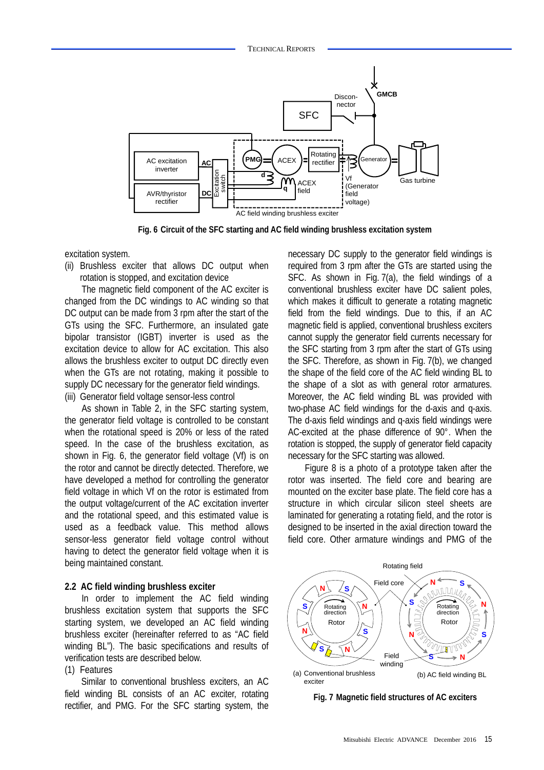

**Fig. 6 Circuit of the SFC starting and AC field winding brushless excitation system** 

excitation system.

(ii) Brushless exciter that allows DC output when rotation is stopped, and excitation device

The magnetic field component of the AC exciter is changed from the DC windings to AC winding so that DC output can be made from 3 rpm after the start of the GTs using the SFC. Furthermore, an insulated gate bipolar transistor (IGBT) inverter is used as the excitation device to allow for AC excitation. This also allows the brushless exciter to output DC directly even when the GTs are not rotating, making it possible to supply DC necessary for the generator field windings. (iii) Generator field voltage sensor-less control

As shown in Table 2, in the SFC starting system, the generator field voltage is controlled to be constant when the rotational speed is 20% or less of the rated speed. In the case of the brushless excitation, as shown in Fig. 6, the generator field voltage (Vf) is on the rotor and cannot be directly detected. Therefore, we have developed a method for controlling the generator field voltage in which Vf on the rotor is estimated from the output voltage/current of the AC excitation inverter and the rotational speed, and this estimated value is used as a feedback value. This method allows sensor-less generator field voltage control without having to detect the generator field voltage when it is being maintained constant.

#### **2.2 AC field winding brushless exciter**

In order to implement the AC field winding brushless excitation system that supports the SFC starting system, we developed an AC field winding brushless exciter (hereinafter referred to as "AC field winding BL"). The basic specifications and results of verification tests are described below.

#### (1) Features

Similar to conventional brushless exciters, an AC field winding BL consists of an AC exciter, rotating rectifier, and PMG. For the SFC starting system, the

necessary DC supply to the generator field windings is required from 3 rpm after the GTs are started using the SFC. As shown in Fig. 7(a), the field windings of a conventional brushless exciter have DC salient poles, which makes it difficult to generate a rotating magnetic field from the field windings. Due to this, if an AC magnetic field is applied, conventional brushless exciters cannot supply the generator field currents necessary for the SFC starting from 3 rpm after the start of GTs using the SFC. Therefore, as shown in Fig. 7(b), we changed the shape of the field core of the AC field winding BL to the shape of a slot as with general rotor armatures. Moreover, the AC field winding BL was provided with two-phase AC field windings for the d-axis and q-axis. The d-axis field windings and q-axis field windings were AC-excited at the phase difference of 90°. When the rotation is stopped, the supply of generator field capacity necessary for the SFC starting was allowed.

Figure 8 is a photo of a prototype taken after the rotor was inserted. The field core and bearing are mounted on the exciter base plate. The field core has a structure in which circular silicon steel sheets are laminated for generating a rotating field, and the rotor is designed to be inserted in the axial direction toward the field core. Other armature windings and PMG of the



**Fig. 7 Magnetic field structures of AC exciters**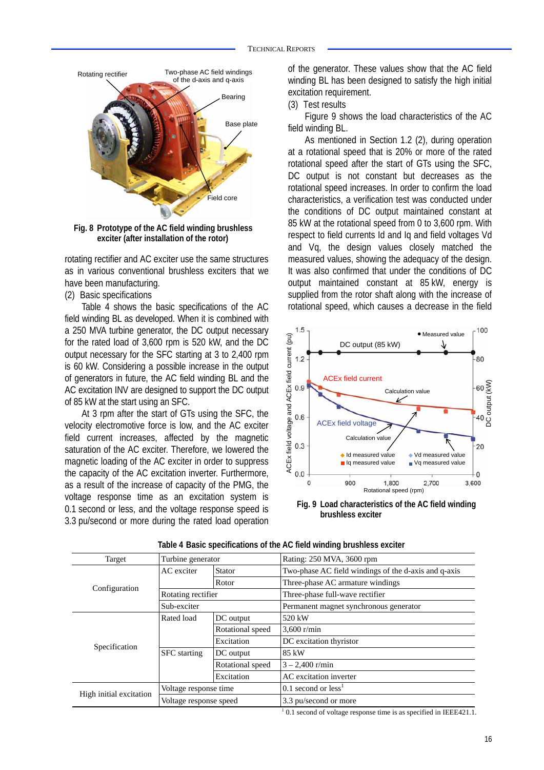

**Fig. 8 Prototype of the AC field winding brushless exciter (after installation of the rotor)** 

rotating rectifier and AC exciter use the same structures as in various conventional brushless exciters that we have been manufacturing.

(2) Basic specifications

Table 4 shows the basic specifications of the AC field winding BL as developed. When it is combined with a 250 MVA turbine generator, the DC output necessary for the rated load of 3,600 rpm is 520 kW, and the DC output necessary for the SFC starting at 3 to 2,400 rpm is 60 kW. Considering a possible increase in the output of generators in future, the AC field winding BL and the AC excitation INV are designed to support the DC output of 85 kW at the start using an SFC.

At 3 rpm after the start of GTs using the SFC, the velocity electromotive force is low, and the AC exciter field current increases, affected by the magnetic saturation of the AC exciter. Therefore, we lowered the magnetic loading of the AC exciter in order to suppress the capacity of the AC excitation inverter. Furthermore, as a result of the increase of capacity of the PMG, the voltage response time as an excitation system is 0.1 second or less, and the voltage response speed is 3.3 pu/second or more during the rated load operation

of the generator. These values show that the AC field winding BL has been designed to satisfy the high initial excitation requirement.

(3) Test results

Figure 9 shows the load characteristics of the AC field winding BL.

As mentioned in Section 1.2 (2), during operation at a rotational speed that is 20% or more of the rated rotational speed after the start of GTs using the SFC, DC output is not constant but decreases as the rotational speed increases. In order to confirm the load characteristics, a verification test was conducted under the conditions of DC output maintained constant at 85 kW at the rotational speed from 0 to 3,600 rpm. With respect to field currents Id and Iq and field voltages Vd and Vq, the design values closely matched the measured values, showing the adequacy of the design. It was also confirmed that under the conditions of DC output maintained constant at 85 kW, energy is supplied from the rotor shaft along with the increase of rotational speed, which causes a decrease in the field



**Fig. 9 Load characteristics of the AC field winding brushless exciter**

| Target                  | Turbine generator      |                  | Rating: 250 MVA, 3600 rpm                            |  |
|-------------------------|------------------------|------------------|------------------------------------------------------|--|
|                         | AC exciter             | <b>Stator</b>    | Two-phase AC field windings of the d-axis and q-axis |  |
|                         |                        | Rotor            | Three-phase AC armature windings                     |  |
| Configuration           | Rotating rectifier     |                  | Three-phase full-wave rectifier                      |  |
|                         | Sub-exciter            |                  | Permanent magnet synchronous generator               |  |
|                         | Rated load             | DC output        | 520 kW                                               |  |
|                         |                        | Rotational speed | $3,600$ r/min                                        |  |
| Specification           |                        | Excitation       | DC excitation thyristor                              |  |
|                         | <b>SFC</b> starting    | DC output        | 85 kW                                                |  |
|                         |                        | Rotational speed | $3 - 2,400$ r/min                                    |  |
|                         | Excitation             |                  | AC excitation inverter                               |  |
|                         | Voltage response time  |                  | $0.1$ second or less <sup>1</sup>                    |  |
| High initial excitation | Voltage response speed |                  | 3.3 pu/second or more                                |  |

| Table 4 Basic specifications of the AC field winding brushless exciter |  |  |  |
|------------------------------------------------------------------------|--|--|--|
|                                                                        |  |  |  |

 $1$  0.1 second of voltage response time is as specified in IEEE421.1.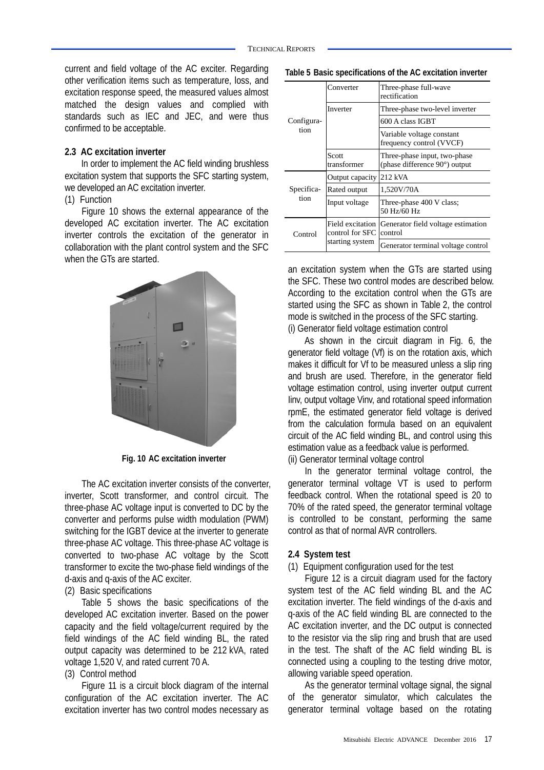current and field voltage of the AC exciter. Regarding other verification items such as temperature, loss, and excitation response speed, the measured values almost matched the design values and complied with standards such as IEC and JEC, and were thus confirmed to be acceptable.

#### **2.3 AC excitation inverter**

In order to implement the AC field winding brushless excitation system that supports the SFC starting system, we developed an AC excitation inverter.

#### (1) Function

Figure 10 shows the external appearance of the developed AC excitation inverter. The AC excitation inverter controls the excitation of the generator in collaboration with the plant control system and the SFC when the GTs are started.



**Fig. 10 AC excitation inverter** 

The AC excitation inverter consists of the converter, inverter, Scott transformer, and control circuit. The three-phase AC voltage input is converted to DC by the converter and performs pulse width modulation (PWM) switching for the IGBT device at the inverter to generate three-phase AC voltage. This three-phase AC voltage is converted to two-phase AC voltage by the Scott transformer to excite the two-phase field windings of the d-axis and q-axis of the AC exciter.

#### (2) Basic specifications

Table 5 shows the basic specifications of the developed AC excitation inverter. Based on the power capacity and the field voltage/current required by the field windings of the AC field winding BL, the rated output capacity was determined to be 212 kVA, rated voltage 1,520 V, and rated current 70 A.

#### (3) Control method

Figure 11 is a circuit block diagram of the internal configuration of the AC excitation inverter. The AC excitation inverter has two control modes necessary as

**Table 5 Basic specifications of the AC excitation inverter** 

|            | Converter                           | Three-phase full-wave<br>rectification                                  |  |  |
|------------|-------------------------------------|-------------------------------------------------------------------------|--|--|
|            | Inverter                            | Three-phase two-level inverter                                          |  |  |
| Configura- |                                     | 600 A class IGBT                                                        |  |  |
| tion       |                                     | Variable voltage constant<br>frequency control (VVCF)                   |  |  |
|            | Scott<br>transformer                | Three-phase input, two-phase<br>(phase difference $90^{\circ}$ ) output |  |  |
|            | Output capacity                     | 212 kVA                                                                 |  |  |
| Specifica- | Rated output                        | 1,520V/70A                                                              |  |  |
| tion       | Input voltage                       | Three-phase 400 V class;<br>50 Hz/60 Hz                                 |  |  |
| Control    | Field excitation<br>control for SFC | Generator field voltage estimation<br>control                           |  |  |
|            | starting system                     | Generator terminal voltage control                                      |  |  |

an excitation system when the GTs are started using the SFC. These two control modes are described below. According to the excitation control when the GTs are started using the SFC as shown in Table 2, the control mode is switched in the process of the SFC starting. (i) Generator field voltage estimation control

As shown in the circuit diagram in Fig. 6, the generator field voltage (Vf) is on the rotation axis, which makes it difficult for Vf to be measured unless a slip ring and brush are used. Therefore, in the generator field voltage estimation control, using inverter output current Iinv, output voltage Vinv, and rotational speed information rpmE, the estimated generator field voltage is derived from the calculation formula based on an equivalent circuit of the AC field winding BL, and control using this estimation value as a feedback value is performed. (ii) Generator terminal voltage control

In the generator terminal voltage control, the generator terminal voltage VT is used to perform feedback control. When the rotational speed is 20 to 70% of the rated speed, the generator terminal voltage is controlled to be constant, performing the same control as that of normal AVR controllers.

#### **2.4 System test**

#### (1) Equipment configuration used for the test

Figure 12 is a circuit diagram used for the factory system test of the AC field winding BL and the AC excitation inverter. The field windings of the d-axis and q-axis of the AC field winding BL are connected to the AC excitation inverter, and the DC output is connected to the resistor via the slip ring and brush that are used in the test. The shaft of the AC field winding BL is connected using a coupling to the testing drive motor, allowing variable speed operation.

As the generator terminal voltage signal, the signal of the generator simulator, which calculates the generator terminal voltage based on the rotating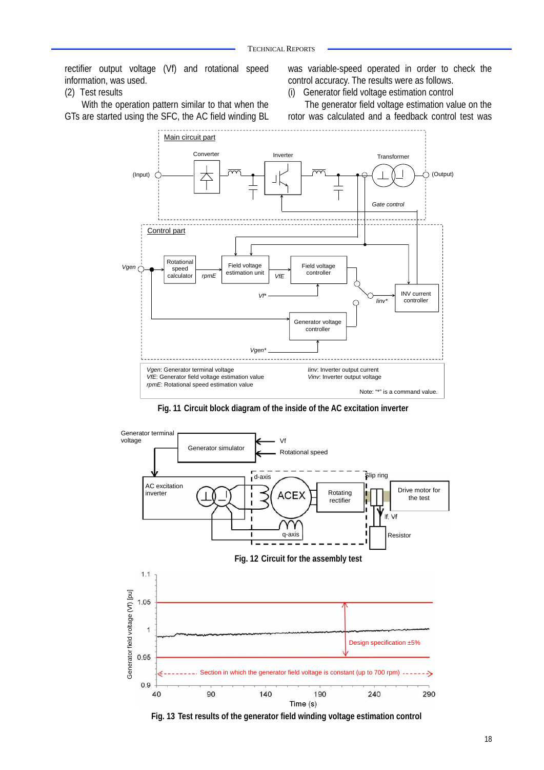rectifier output voltage (Vf) and rotational speed information, was used.

#### (2) Test results

With the operation pattern similar to that when the GTs are started using the SFC, the AC field winding BL

was variable-speed operated in order to check the control accuracy. The results were as follows.

(i) Generator field voltage estimation control

The generator field voltage estimation value on the rotor was calculated and a feedback control test was



**Fig. 11 Circuit block diagram of the inside of the AC excitation inverter** 



**Fig. 13 Test results of the generator field winding voltage estimation control**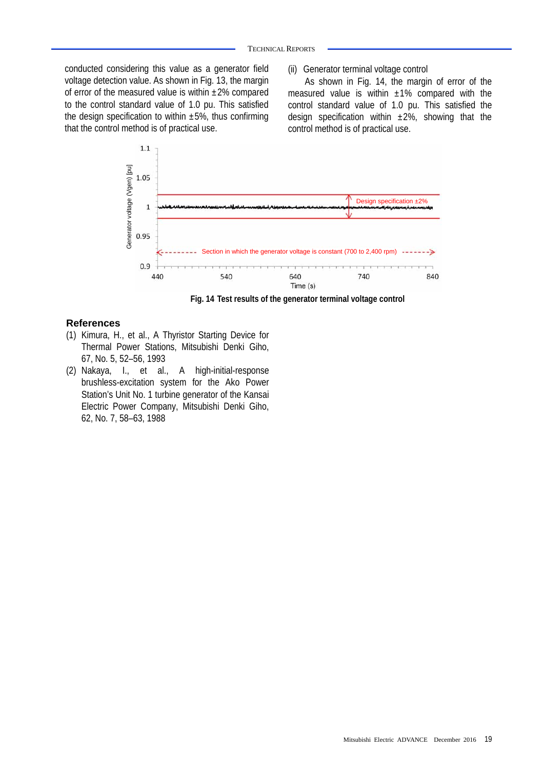conducted considering this value as a generator field voltage detection value. As shown in Fig. 13, the margin of error of the measured value is within  $\pm 2\%$  compared to the control standard value of 1.0 pu. This satisfied the design specification to within  $\pm 5\%$ , thus confirming that the control method is of practical use.

(ii) Generator terminal voltage control

As shown in Fig. 14, the margin of error of the measured value is within  $\pm 1\%$  compared with the control standard value of 1.0 pu. This satisfied the design specification within  $\pm 2\%$ , showing that the control method is of practical use.



**Fig. 14 Test results of the generator terminal voltage control** 

#### **References**

- (1) Kimura, H., et al., A Thyristor Starting Device for Thermal Power Stations, Mitsubishi Denki Giho, 67, No. 5, 52–56, 1993
- (2) Nakaya, I., et al., A high-initial-response brushless-excitation system for the Ako Power Station's Unit No. 1 turbine generator of the Kansai Electric Power Company, Mitsubishi Denki Giho,